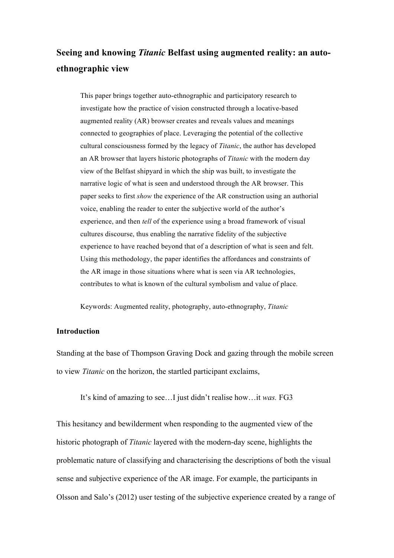# **Seeing and knowing** *Titanic* **Belfast using augmented reality: an autoethnographic view**

This paper brings together auto-ethnographic and participatory research to investigate how the practice of vision constructed through a locative-based augmented reality (AR) browser creates and reveals values and meanings connected to geographies of place. Leveraging the potential of the collective cultural consciousness formed by the legacy of *Titanic*, the author has developed an AR browser that layers historic photographs of *Titanic* with the modern day view of the Belfast shipyard in which the ship was built, to investigate the narrative logic of what is seen and understood through the AR browser. This paper seeks to first *show* the experience of the AR construction using an authorial voice, enabling the reader to enter the subjective world of the author's experience, and then *tell* of the experience using a broad framework of visual cultures discourse, thus enabling the narrative fidelity of the subjective experience to have reached beyond that of a description of what is seen and felt. Using this methodology, the paper identifies the affordances and constraints of the AR image in those situations where what is seen via AR technologies, contributes to what is known of the cultural symbolism and value of place.

Keywords: Augmented reality, photography, auto-ethnography, *Titanic*

## **Introduction**

Standing at the base of Thompson Graving Dock and gazing through the mobile screen to view *Titanic* on the horizon, the startled participant exclaims,

It's kind of amazing to see…I just didn't realise how…it *was.* FG3

This hesitancy and bewilderment when responding to the augmented view of the historic photograph of *Titanic* layered with the modern-day scene, highlights the problematic nature of classifying and characterising the descriptions of both the visual sense and subjective experience of the AR image. For example, the participants in Olsson and Salo's (2012) user testing of the subjective experience created by a range of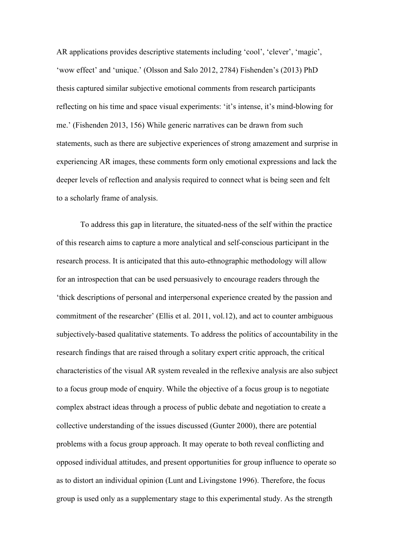AR applications provides descriptive statements including 'cool', 'clever', 'magic', 'wow effect' and 'unique.' (Olsson and Salo 2012, 2784) Fishenden's (2013) PhD thesis captured similar subjective emotional comments from research participants reflecting on his time and space visual experiments: 'it's intense, it's mind-blowing for me.' (Fishenden 2013, 156) While generic narratives can be drawn from such statements, such as there are subjective experiences of strong amazement and surprise in experiencing AR images, these comments form only emotional expressions and lack the deeper levels of reflection and analysis required to connect what is being seen and felt to a scholarly frame of analysis.

To address this gap in literature, the situated-ness of the self within the practice of this research aims to capture a more analytical and self-conscious participant in the research process. It is anticipated that this auto-ethnographic methodology will allow for an introspection that can be used persuasively to encourage readers through the 'thick descriptions of personal and interpersonal experience created by the passion and commitment of the researcher' (Ellis et al. 2011, vol.12), and act to counter ambiguous subjectively-based qualitative statements. To address the politics of accountability in the research findings that are raised through a solitary expert critic approach, the critical characteristics of the visual AR system revealed in the reflexive analysis are also subject to a focus group mode of enquiry. While the objective of a focus group is to negotiate complex abstract ideas through a process of public debate and negotiation to create a collective understanding of the issues discussed (Gunter 2000), there are potential problems with a focus group approach. It may operate to both reveal conflicting and opposed individual attitudes, and present opportunities for group influence to operate so as to distort an individual opinion (Lunt and Livingstone 1996). Therefore, the focus group is used only as a supplementary stage to this experimental study. As the strength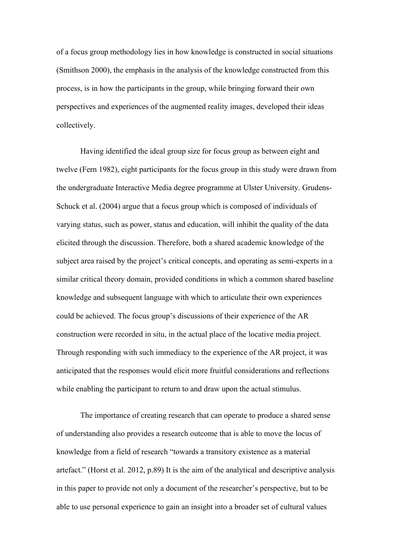of a focus group methodology lies in how knowledge is constructed in social situations (Smithson 2000), the emphasis in the analysis of the knowledge constructed from this process, is in how the participants in the group, while bringing forward their own perspectives and experiences of the augmented reality images, developed their ideas collectively.

Having identified the ideal group size for focus group as between eight and twelve (Fern 1982), eight participants for the focus group in this study were drawn from the undergraduate Interactive Media degree programme at Ulster University. Grudens-Schuck et al. (2004) argue that a focus group which is composed of individuals of varying status, such as power, status and education, will inhibit the quality of the data elicited through the discussion. Therefore, both a shared academic knowledge of the subject area raised by the project's critical concepts, and operating as semi-experts in a similar critical theory domain, provided conditions in which a common shared baseline knowledge and subsequent language with which to articulate their own experiences could be achieved. The focus group's discussions of their experience of the AR construction were recorded in situ, in the actual place of the locative media project. Through responding with such immediacy to the experience of the AR project, it was anticipated that the responses would elicit more fruitful considerations and reflections while enabling the participant to return to and draw upon the actual stimulus.

The importance of creating research that can operate to produce a shared sense of understanding also provides a research outcome that is able to move the locus of knowledge from a field of research "towards a transitory existence as a material artefact." (Horst et al. 2012, p.89) It is the aim of the analytical and descriptive analysis in this paper to provide not only a document of the researcher's perspective, but to be able to use personal experience to gain an insight into a broader set of cultural values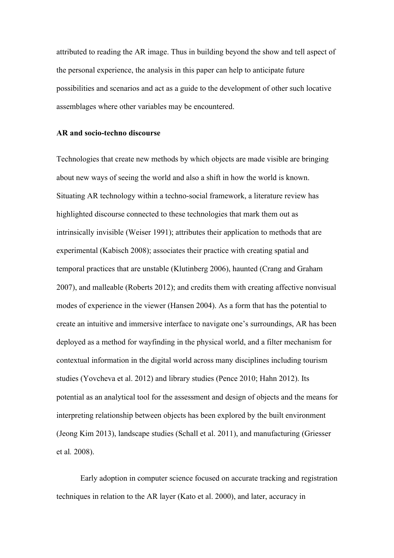attributed to reading the AR image. Thus in building beyond the show and tell aspect of the personal experience, the analysis in this paper can help to anticipate future possibilities and scenarios and act as a guide to the development of other such locative assemblages where other variables may be encountered.

#### **AR and socio-techno discourse**

Technologies that create new methods by which objects are made visible are bringing about new ways of seeing the world and also a shift in how the world is known. Situating AR technology within a techno-social framework, a literature review has highlighted discourse connected to these technologies that mark them out as intrinsically invisible (Weiser 1991); attributes their application to methods that are experimental (Kabisch 2008); associates their practice with creating spatial and temporal practices that are unstable (Klutinberg 2006), haunted (Crang and Graham 2007), and malleable (Roberts 2012); and credits them with creating affective nonvisual modes of experience in the viewer (Hansen 2004). As a form that has the potential to create an intuitive and immersive interface to navigate one's surroundings, AR has been deployed as a method for wayfinding in the physical world, and a filter mechanism for contextual information in the digital world across many disciplines including tourism studies (Yovcheva et al. 2012) and library studies (Pence 2010; Hahn 2012). Its potential as an analytical tool for the assessment and design of objects and the means for interpreting relationship between objects has been explored by the built environment (Jeong Kim 2013), landscape studies (Schall et al. 2011), and manufacturing (Griesser et al*.* 2008).

Early adoption in computer science focused on accurate tracking and registration techniques in relation to the AR layer (Kato et al. 2000), and later, accuracy in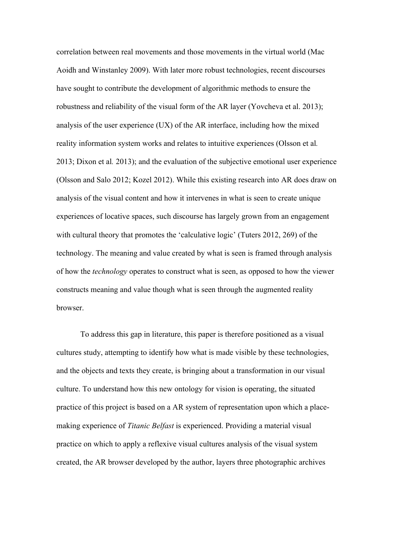correlation between real movements and those movements in the virtual world (Mac Aoidh and Winstanley 2009). With later more robust technologies, recent discourses have sought to contribute the development of algorithmic methods to ensure the robustness and reliability of the visual form of the AR layer (Yovcheva et al. 2013); analysis of the user experience  $(UX)$  of the AR interface, including how the mixed reality information system works and relates to intuitive experiences (Olsson et al*.*  2013; Dixon et al*.* 2013); and the evaluation of the subjective emotional user experience (Olsson and Salo 2012; Kozel 2012). While this existing research into AR does draw on analysis of the visual content and how it intervenes in what is seen to create unique experiences of locative spaces, such discourse has largely grown from an engagement with cultural theory that promotes the 'calculative logic' (Tuters 2012, 269) of the technology. The meaning and value created by what is seen is framed through analysis of how the *technology* operates to construct what is seen, as opposed to how the viewer constructs meaning and value though what is seen through the augmented reality browser.

To address this gap in literature, this paper is therefore positioned as a visual cultures study, attempting to identify how what is made visible by these technologies, and the objects and texts they create, is bringing about a transformation in our visual culture. To understand how this new ontology for vision is operating, the situated practice of this project is based on a AR system of representation upon which a placemaking experience of *Titanic Belfast* is experienced. Providing a material visual practice on which to apply a reflexive visual cultures analysis of the visual system created, the AR browser developed by the author, layers three photographic archives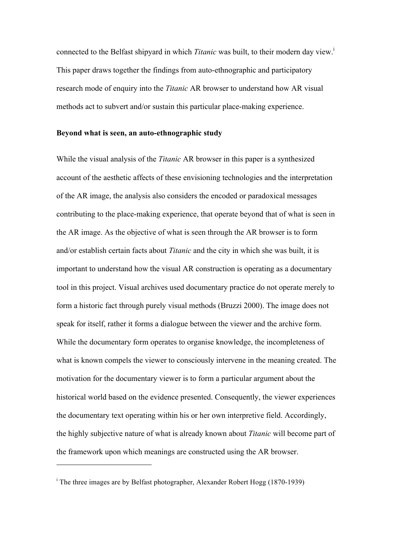connected to the Belfast shipyard in which *Titanic* was built, to their modern day view.<sup>1</sup> This paper draws together the findings from auto-ethnographic and participatory research mode of enquiry into the *Titanic* AR browser to understand how AR visual methods act to subvert and/or sustain this particular place-making experience.

#### **Beyond what is seen, an auto-ethnographic study**

While the visual analysis of the *Titanic* AR browser in this paper is a synthesized account of the aesthetic affects of these envisioning technologies and the interpretation of the AR image, the analysis also considers the encoded or paradoxical messages contributing to the place-making experience, that operate beyond that of what is seen in the AR image. As the objective of what is seen through the AR browser is to form and/or establish certain facts about *Titanic* and the city in which she was built, it is important to understand how the visual AR construction is operating as a documentary tool in this project. Visual archives used documentary practice do not operate merely to form a historic fact through purely visual methods (Bruzzi 2000). The image does not speak for itself, rather it forms a dialogue between the viewer and the archive form. While the documentary form operates to organise knowledge, the incompleteness of what is known compels the viewer to consciously intervene in the meaning created. The motivation for the documentary viewer is to form a particular argument about the historical world based on the evidence presented. Consequently, the viewer experiences the documentary text operating within his or her own interpretive field. Accordingly, the highly subjective nature of what is already known about *Titanic* will become part of the framework upon which meanings are constructed using the AR browser.

 $\overline{a}$ 

<sup>&</sup>lt;sup>i</sup> The three images are by Belfast photographer, Alexander Robert Hogg (1870-1939)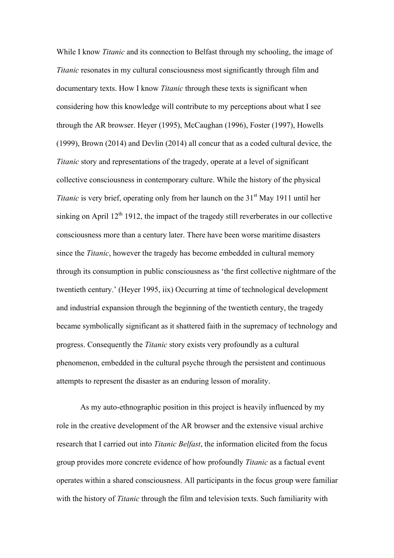While I know *Titanic* and its connection to Belfast through my schooling, the image of *Titanic* resonates in my cultural consciousness most significantly through film and documentary texts. How I know *Titanic* through these texts is significant when considering how this knowledge will contribute to my perceptions about what I see through the AR browser. Heyer (1995), McCaughan (1996), Foster (1997), Howells (1999), Brown (2014) and Devlin (2014) all concur that as a coded cultural device, the *Titanic* story and representations of the tragedy, operate at a level of significant collective consciousness in contemporary culture. While the history of the physical *Titanic* is very brief, operating only from her launch on the 31<sup>st</sup> May 1911 until her sinking on April  $12<sup>th</sup> 1912$ , the impact of the tragedy still reverberates in our collective consciousness more than a century later. There have been worse maritime disasters since the *Titanic*, however the tragedy has become embedded in cultural memory through its consumption in public consciousness as 'the first collective nightmare of the twentieth century.' (Heyer 1995, iix) Occurring at time of technological development and industrial expansion through the beginning of the twentieth century, the tragedy became symbolically significant as it shattered faith in the supremacy of technology and progress. Consequently the *Titanic* story exists very profoundly as a cultural phenomenon, embedded in the cultural psyche through the persistent and continuous attempts to represent the disaster as an enduring lesson of morality.

As my auto-ethnographic position in this project is heavily influenced by my role in the creative development of the AR browser and the extensive visual archive research that I carried out into *Titanic Belfast*, the information elicited from the focus group provides more concrete evidence of how profoundly *Titanic* as a factual event operates within a shared consciousness. All participants in the focus group were familiar with the history of *Titanic* through the film and television texts. Such familiarity with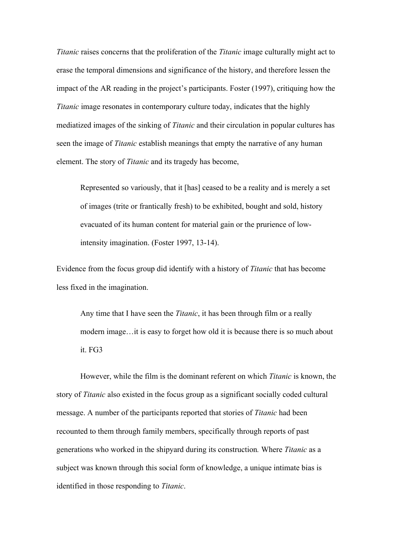*Titanic* raises concerns that the proliferation of the *Titanic* image culturally might act to erase the temporal dimensions and significance of the history, and therefore lessen the impact of the AR reading in the project's participants. Foster (1997), critiquing how the *Titanic* image resonates in contemporary culture today, indicates that the highly mediatized images of the sinking of *Titanic* and their circulation in popular cultures has seen the image of *Titanic* establish meanings that empty the narrative of any human element. The story of *Titanic* and its tragedy has become,

Represented so variously, that it [has] ceased to be a reality and is merely a set of images (trite or frantically fresh) to be exhibited, bought and sold, history evacuated of its human content for material gain or the prurience of lowintensity imagination. (Foster 1997, 13-14).

Evidence from the focus group did identify with a history of *Titanic* that has become less fixed in the imagination.

Any time that I have seen the *Titanic*, it has been through film or a really modern image…it is easy to forget how old it is because there is so much about it. FG3

However, while the film is the dominant referent on which *Titanic* is known, the story of *Titanic* also existed in the focus group as a significant socially coded cultural message. A number of the participants reported that stories of *Titanic* had been recounted to them through family members, specifically through reports of past generations who worked in the shipyard during its construction*.* Where *Titanic* as a subject was known through this social form of knowledge, a unique intimate bias is identified in those responding to *Titanic*.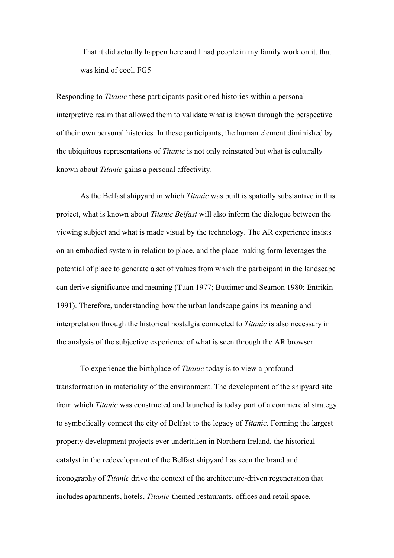That it did actually happen here and I had people in my family work on it, that was kind of cool. FG5

Responding to *Titanic* these participants positioned histories within a personal interpretive realm that allowed them to validate what is known through the perspective of their own personal histories. In these participants, the human element diminished by the ubiquitous representations of *Titanic* is not only reinstated but what is culturally known about *Titanic* gains a personal affectivity.

As the Belfast shipyard in which *Titanic* was built is spatially substantive in this project, what is known about *Titanic Belfast* will also inform the dialogue between the viewing subject and what is made visual by the technology. The AR experience insists on an embodied system in relation to place, and the place-making form leverages the potential of place to generate a set of values from which the participant in the landscape can derive significance and meaning (Tuan 1977; Buttimer and Seamon 1980; Entrikin 1991). Therefore, understanding how the urban landscape gains its meaning and interpretation through the historical nostalgia connected to *Titanic* is also necessary in the analysis of the subjective experience of what is seen through the AR browser.

To experience the birthplace of *Titanic* today is to view a profound transformation in materiality of the environment. The development of the shipyard site from which *Titanic* was constructed and launched is today part of a commercial strategy to symbolically connect the city of Belfast to the legacy of *Titanic.* Forming the largest property development projects ever undertaken in Northern Ireland, the historical catalyst in the redevelopment of the Belfast shipyard has seen the brand and iconography of *Titanic* drive the context of the architecture-driven regeneration that includes apartments, hotels, *Titanic*-themed restaurants, offices and retail space.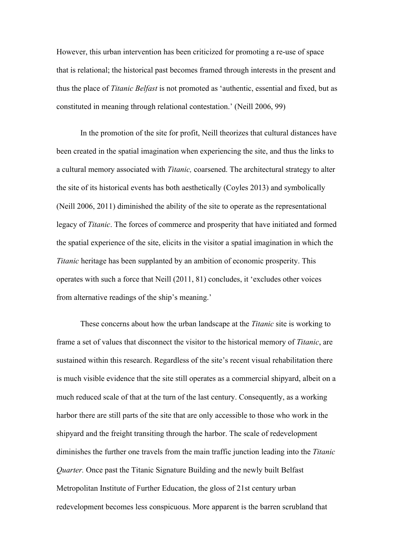However, this urban intervention has been criticized for promoting a re-use of space that is relational; the historical past becomes framed through interests in the present and thus the place of *Titanic Belfast* is not promoted as 'authentic, essential and fixed, but as constituted in meaning through relational contestation.' (Neill 2006, 99)

In the promotion of the site for profit, Neill theorizes that cultural distances have been created in the spatial imagination when experiencing the site, and thus the links to a cultural memory associated with *Titanic,* coarsened. The architectural strategy to alter the site of its historical events has both aesthetically (Coyles 2013) and symbolically (Neill 2006, 2011) diminished the ability of the site to operate as the representational legacy of *Titanic*. The forces of commerce and prosperity that have initiated and formed the spatial experience of the site, elicits in the visitor a spatial imagination in which the *Titanic* heritage has been supplanted by an ambition of economic prosperity. This operates with such a force that Neill (2011, 81) concludes, it 'excludes other voices from alternative readings of the ship's meaning.'

These concerns about how the urban landscape at the *Titanic* site is working to frame a set of values that disconnect the visitor to the historical memory of *Titanic*, are sustained within this research. Regardless of the site's recent visual rehabilitation there is much visible evidence that the site still operates as a commercial shipyard, albeit on a much reduced scale of that at the turn of the last century. Consequently, as a working harbor there are still parts of the site that are only accessible to those who work in the shipyard and the freight transiting through the harbor. The scale of redevelopment diminishes the further one travels from the main traffic junction leading into the *Titanic Quarter.* Once past the Titanic Signature Building and the newly built Belfast Metropolitan Institute of Further Education, the gloss of 21st century urban redevelopment becomes less conspicuous. More apparent is the barren scrubland that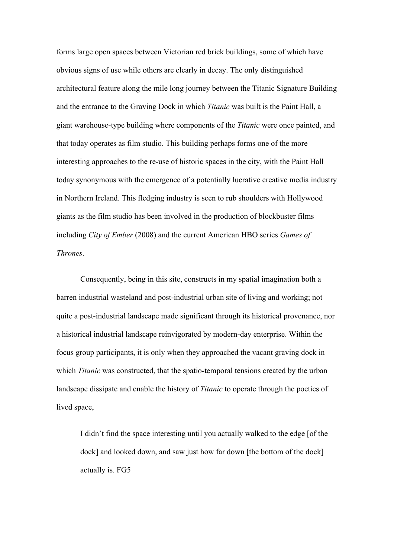forms large open spaces between Victorian red brick buildings, some of which have obvious signs of use while others are clearly in decay. The only distinguished architectural feature along the mile long journey between the Titanic Signature Building and the entrance to the Graving Dock in which *Titanic* was built is the Paint Hall, a giant warehouse-type building where components of the *Titanic* were once painted, and that today operates as film studio. This building perhaps forms one of the more interesting approaches to the re-use of historic spaces in the city, with the Paint Hall today synonymous with the emergence of a potentially lucrative creative media industry in Northern Ireland. This fledging industry is seen to rub shoulders with Hollywood giants as the film studio has been involved in the production of blockbuster films including *City of Ember* (2008) and the current American HBO series *Games of Thrones*.

Consequently, being in this site, constructs in my spatial imagination both a barren industrial wasteland and post-industrial urban site of living and working; not quite a post-industrial landscape made significant through its historical provenance, nor a historical industrial landscape reinvigorated by modern-day enterprise. Within the focus group participants, it is only when they approached the vacant graving dock in which *Titanic* was constructed, that the spatio-temporal tensions created by the urban landscape dissipate and enable the history of *Titanic* to operate through the poetics of lived space,

I didn't find the space interesting until you actually walked to the edge [of the dock] and looked down, and saw just how far down [the bottom of the dock] actually is. FG5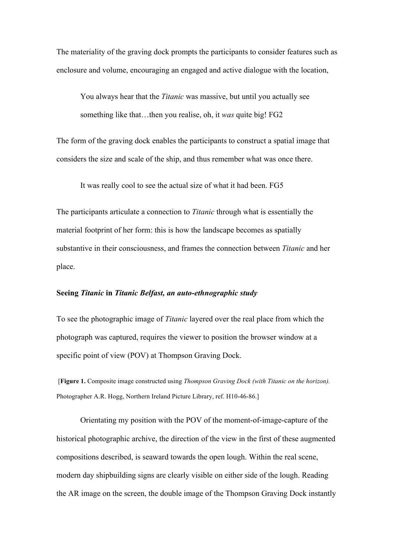The materiality of the graving dock prompts the participants to consider features such as enclosure and volume, encouraging an engaged and active dialogue with the location,

You always hear that the *Titanic* was massive, but until you actually see something like that…then you realise, oh, it *was* quite big! FG2

The form of the graving dock enables the participants to construct a spatial image that considers the size and scale of the ship, and thus remember what was once there.

It was really cool to see the actual size of what it had been. FG5

The participants articulate a connection to *Titanic* through what is essentially the material footprint of her form: this is how the landscape becomes as spatially substantive in their consciousness, and frames the connection between *Titanic* and her place.

#### **Seeing** *Titanic* **in** *Titanic Belfast, an auto-ethnographic study*

To see the photographic image of *Titanic* layered over the real place from which the photograph was captured, requires the viewer to position the browser window at a specific point of view (POV) at Thompson Graving Dock.

[**Figure 1.** Composite image constructed using *Thompson Graving Dock (with Titanic on the horizon).*  Photographer A.R. Hogg, Northern Ireland Picture Library, ref. H10-46-86.]

Orientating my position with the POV of the moment-of-image-capture of the historical photographic archive, the direction of the view in the first of these augmented compositions described, is seaward towards the open lough. Within the real scene, modern day shipbuilding signs are clearly visible on either side of the lough. Reading the AR image on the screen, the double image of the Thompson Graving Dock instantly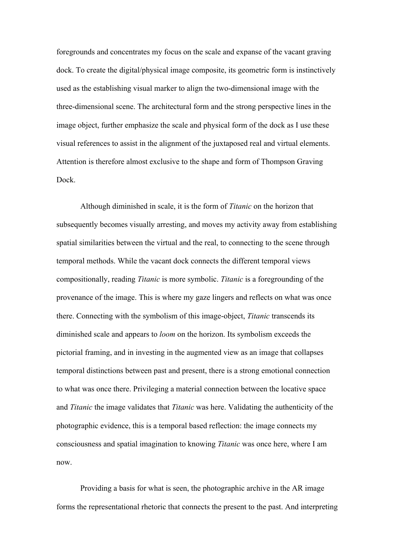foregrounds and concentrates my focus on the scale and expanse of the vacant graving dock. To create the digital/physical image composite, its geometric form is instinctively used as the establishing visual marker to align the two-dimensional image with the three-dimensional scene. The architectural form and the strong perspective lines in the image object, further emphasize the scale and physical form of the dock as I use these visual references to assist in the alignment of the juxtaposed real and virtual elements. Attention is therefore almost exclusive to the shape and form of Thompson Graving Dock.

Although diminished in scale, it is the form of *Titanic* on the horizon that subsequently becomes visually arresting, and moves my activity away from establishing spatial similarities between the virtual and the real, to connecting to the scene through temporal methods. While the vacant dock connects the different temporal views compositionally, reading *Titanic* is more symbolic. *Titanic* is a foregrounding of the provenance of the image. This is where my gaze lingers and reflects on what was once there. Connecting with the symbolism of this image-object, *Titanic* transcends its diminished scale and appears to *loom* on the horizon. Its symbolism exceeds the pictorial framing, and in investing in the augmented view as an image that collapses temporal distinctions between past and present, there is a strong emotional connection to what was once there. Privileging a material connection between the locative space and *Titanic* the image validates that *Titanic* was here. Validating the authenticity of the photographic evidence, this is a temporal based reflection: the image connects my consciousness and spatial imagination to knowing *Titanic* was once here, where I am now.

Providing a basis for what is seen, the photographic archive in the AR image forms the representational rhetoric that connects the present to the past. And interpreting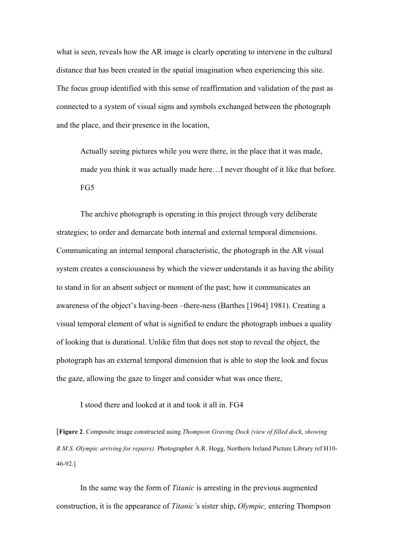what is seen, reveals how the AR image is clearly operating to intervene in the cultural distance that has been created in the spatial imagination when experiencing this site. The focus group identified with this sense of reaffirmation and validation of the past as connected to a system of visual signs and symbols exchanged between the photograph and the place, and their presence in the location,

Actually seeing pictures while you were there, in the place that it was made, made you think it was actually made here…I never thought of it like that before. FG5

The archive photograph is operating in this project through very deliberate strategies; to order and demarcate both internal and external temporal dimensions. Communicating an internal temporal characteristic, the photograph in the AR visual system creates a consciousness by which the viewer understands it as having the ability to stand in for an absent subject or moment of the past; how it communicates an awareness of the object's having-been –there-ness (Barthes [1964] 1981). Creating a visual temporal element of what is signified to endure the photograph imbues a quality of looking that is durational. Unlike film that does not stop to reveal the object, the photograph has an external temporal dimension that is able to stop the look and focus the gaze, allowing the gaze to linger and consider what was once there,

I stood there and looked at it and took it all in. FG4

[**Figure 2**. Composite image constructed using *Thompson Graving Dock (view of filled dock, showing R.M.S. Olympic arriving for repairs).* Photographer A.R. Hogg, Northern Ireland Picture Library ref H10- 46-92.]

In the same way the form of *Titanic* is arresting in the previous augmented construction, it is the appearance of *Titanic'*s sister ship, *Olympic,* entering Thompson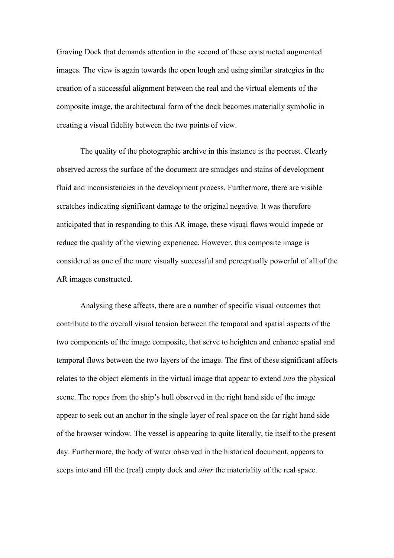Graving Dock that demands attention in the second of these constructed augmented images. The view is again towards the open lough and using similar strategies in the creation of a successful alignment between the real and the virtual elements of the composite image, the architectural form of the dock becomes materially symbolic in creating a visual fidelity between the two points of view.

The quality of the photographic archive in this instance is the poorest. Clearly observed across the surface of the document are smudges and stains of development fluid and inconsistencies in the development process. Furthermore, there are visible scratches indicating significant damage to the original negative. It was therefore anticipated that in responding to this AR image, these visual flaws would impede or reduce the quality of the viewing experience. However, this composite image is considered as one of the more visually successful and perceptually powerful of all of the AR images constructed.

Analysing these affects, there are a number of specific visual outcomes that contribute to the overall visual tension between the temporal and spatial aspects of the two components of the image composite, that serve to heighten and enhance spatial and temporal flows between the two layers of the image. The first of these significant affects relates to the object elements in the virtual image that appear to extend *into* the physical scene. The ropes from the ship's hull observed in the right hand side of the image appear to seek out an anchor in the single layer of real space on the far right hand side of the browser window. The vessel is appearing to quite literally, tie itself to the present day. Furthermore, the body of water observed in the historical document, appears to seeps into and fill the (real) empty dock and *alter* the materiality of the real space.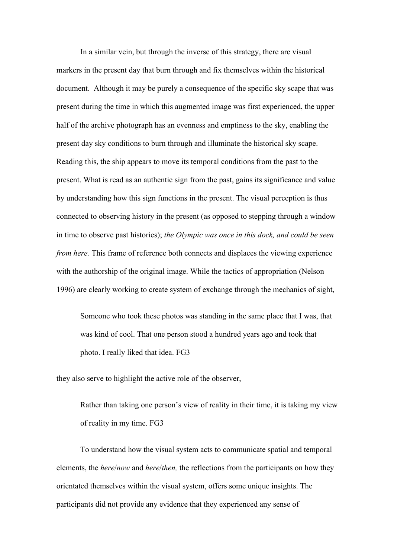In a similar vein, but through the inverse of this strategy, there are visual markers in the present day that burn through and fix themselves within the historical document. Although it may be purely a consequence of the specific sky scape that was present during the time in which this augmented image was first experienced, the upper half of the archive photograph has an evenness and emptiness to the sky, enabling the present day sky conditions to burn through and illuminate the historical sky scape. Reading this, the ship appears to move its temporal conditions from the past to the present. What is read as an authentic sign from the past, gains its significance and value by understanding how this sign functions in the present. The visual perception is thus connected to observing history in the present (as opposed to stepping through a window in time to observe past histories); *the Olympic was once in this dock, and could be seen from here.* This frame of reference both connects and displaces the viewing experience with the authorship of the original image. While the tactics of appropriation (Nelson 1996) are clearly working to create system of exchange through the mechanics of sight,

Someone who took these photos was standing in the same place that I was, that was kind of cool. That one person stood a hundred years ago and took that photo. I really liked that idea. FG3

they also serve to highlight the active role of the observer,

Rather than taking one person's view of reality in their time, it is taking my view of reality in my time. FG3

To understand how the visual system acts to communicate spatial and temporal elements, the *here*/*now* and *here*/*then,* the reflections from the participants on how they orientated themselves within the visual system, offers some unique insights. The participants did not provide any evidence that they experienced any sense of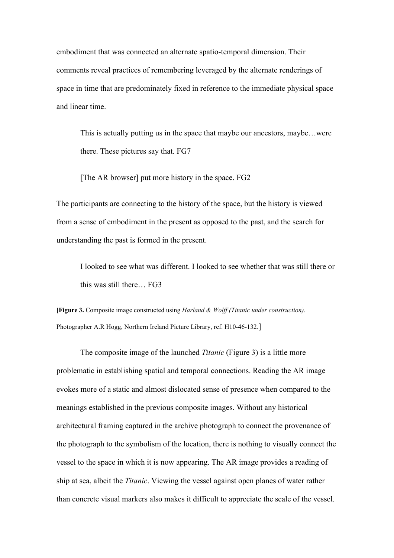embodiment that was connected an alternate spatio-temporal dimension. Their comments reveal practices of remembering leveraged by the alternate renderings of space in time that are predominately fixed in reference to the immediate physical space and linear time.

This is actually putting us in the space that maybe our ancestors, maybe…were there. These pictures say that. FG7

[The AR browser] put more history in the space. FG2

The participants are connecting to the history of the space, but the history is viewed from a sense of embodiment in the present as opposed to the past, and the search for understanding the past is formed in the present.

I looked to see what was different. I looked to see whether that was still there or this was still there… FG3

**[Figure 3.** Composite image constructed using *Harland & Wolff (Titanic under construction).*  Photographer A.R Hogg, Northern Ireland Picture Library, ref. H10-46-132.]

The composite image of the launched *Titanic* (Figure 3) is a little more problematic in establishing spatial and temporal connections. Reading the AR image evokes more of a static and almost dislocated sense of presence when compared to the meanings established in the previous composite images. Without any historical architectural framing captured in the archive photograph to connect the provenance of the photograph to the symbolism of the location, there is nothing to visually connect the vessel to the space in which it is now appearing. The AR image provides a reading of ship at sea, albeit the *Titanic*. Viewing the vessel against open planes of water rather than concrete visual markers also makes it difficult to appreciate the scale of the vessel.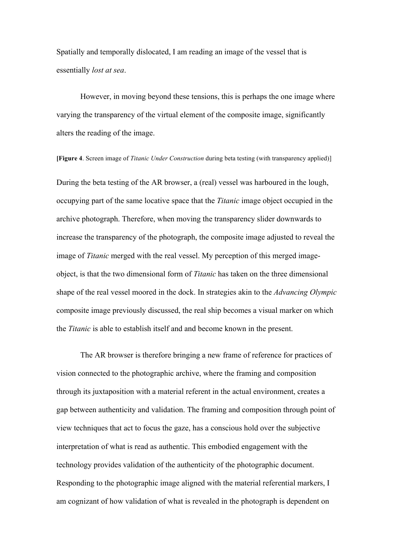Spatially and temporally dislocated, I am reading an image of the vessel that is essentially *lost at sea*.

However, in moving beyond these tensions, this is perhaps the one image where varying the transparency of the virtual element of the composite image, significantly alters the reading of the image.

**[Figure 4**. Screen image of *Titanic Under Construction* during beta testing (with transparency applied)] During the beta testing of the AR browser, a (real) vessel was harboured in the lough, occupying part of the same locative space that the *Titanic* image object occupied in the archive photograph. Therefore, when moving the transparency slider downwards to increase the transparency of the photograph, the composite image adjusted to reveal the image of *Titanic* merged with the real vessel. My perception of this merged imageobject, is that the two dimensional form of *Titanic* has taken on the three dimensional shape of the real vessel moored in the dock. In strategies akin to the *Advancing Olympic* composite image previously discussed, the real ship becomes a visual marker on which the *Titanic* is able to establish itself and and become known in the present.

The AR browser is therefore bringing a new frame of reference for practices of vision connected to the photographic archive, where the framing and composition through its juxtaposition with a material referent in the actual environment, creates a gap between authenticity and validation. The framing and composition through point of view techniques that act to focus the gaze, has a conscious hold over the subjective interpretation of what is read as authentic. This embodied engagement with the technology provides validation of the authenticity of the photographic document. Responding to the photographic image aligned with the material referential markers, I am cognizant of how validation of what is revealed in the photograph is dependent on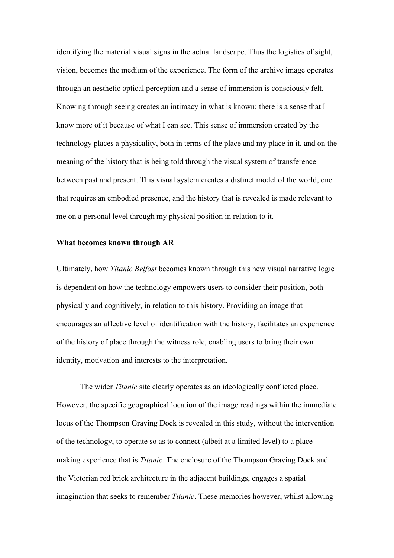identifying the material visual signs in the actual landscape. Thus the logistics of sight, vision, becomes the medium of the experience. The form of the archive image operates through an aesthetic optical perception and a sense of immersion is consciously felt. Knowing through seeing creates an intimacy in what is known; there is a sense that I know more of it because of what I can see. This sense of immersion created by the technology places a physicality, both in terms of the place and my place in it, and on the meaning of the history that is being told through the visual system of transference between past and present. This visual system creates a distinct model of the world, one that requires an embodied presence, and the history that is revealed is made relevant to me on a personal level through my physical position in relation to it.

### **What becomes known through AR**

Ultimately, how *Titanic Belfast* becomes known through this new visual narrative logic is dependent on how the technology empowers users to consider their position, both physically and cognitively, in relation to this history. Providing an image that encourages an affective level of identification with the history, facilitates an experience of the history of place through the witness role, enabling users to bring their own identity, motivation and interests to the interpretation.

The wider *Titanic* site clearly operates as an ideologically conflicted place. However, the specific geographical location of the image readings within the immediate locus of the Thompson Graving Dock is revealed in this study, without the intervention of the technology, to operate so as to connect (albeit at a limited level) to a placemaking experience that is *Titanic.* The enclosure of the Thompson Graving Dock and the Victorian red brick architecture in the adjacent buildings, engages a spatial imagination that seeks to remember *Titanic*. These memories however, whilst allowing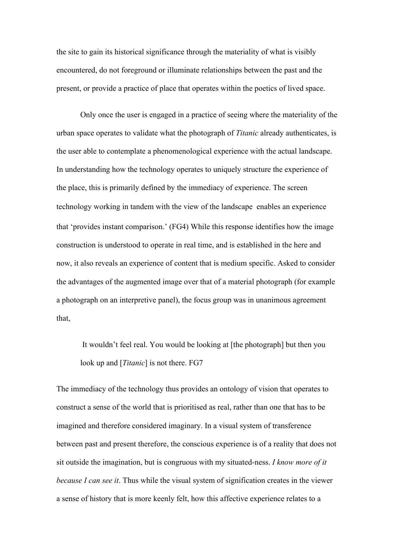the site to gain its historical significance through the materiality of what is visibly encountered, do not foreground or illuminate relationships between the past and the present, or provide a practice of place that operates within the poetics of lived space.

Only once the user is engaged in a practice of seeing where the materiality of the urban space operates to validate what the photograph of *Titanic* already authenticates, is the user able to contemplate a phenomenological experience with the actual landscape. In understanding how the technology operates to uniquely structure the experience of the place, this is primarily defined by the immediacy of experience. The screen technology working in tandem with the view of the landscape enables an experience that 'provides instant comparison.' (FG4) While this response identifies how the image construction is understood to operate in real time, and is established in the here and now, it also reveals an experience of content that is medium specific. Asked to consider the advantages of the augmented image over that of a material photograph (for example a photograph on an interpretive panel), the focus group was in unanimous agreement that,

It wouldn't feel real. You would be looking at [the photograph] but then you look up and [*Titanic*] is not there. FG7

The immediacy of the technology thus provides an ontology of vision that operates to construct a sense of the world that is prioritised as real, rather than one that has to be imagined and therefore considered imaginary. In a visual system of transference between past and present therefore, the conscious experience is of a reality that does not sit outside the imagination, but is congruous with my situated-ness. *I know more of it because I can see it*. Thus while the visual system of signification creates in the viewer a sense of history that is more keenly felt, how this affective experience relates to a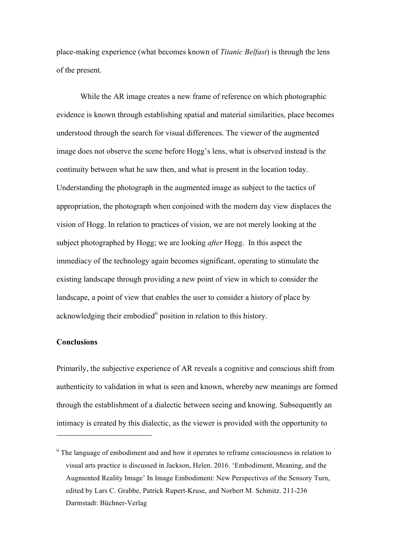place-making experience (what becomes known of *Titanic Belfast*) is through the lens of the present.

While the AR image creates a new frame of reference on which photographic evidence is known through establishing spatial and material similarities, place becomes understood through the search for visual differences. The viewer of the augmented image does not observe the scene before Hogg's lens, what is observed instead is the continuity between what he saw then, and what is present in the location today. Understanding the photograph in the augmented image as subject to the tactics of appropriation, the photograph when conjoined with the modern day view displaces the vision of Hogg. In relation to practices of vision, we are not merely looking at the subject photographed by Hogg; we are looking *after* Hogg. In this aspect the immediacy of the technology again becomes significant, operating to stimulate the existing landscape through providing a new point of view in which to consider the landscape, a point of view that enables the user to consider a history of place by acknowledging their embodied<sup>ii</sup> position in relation to this history.

#### **Conclusions**

 $\overline{a}$ 

Primarily, the subjective experience of AR reveals a cognitive and conscious shift from authenticity to validation in what is seen and known, whereby new meanings are formed through the establishment of a dialectic between seeing and knowing. Subsequently an intimacy is created by this dialectic, as the viewer is provided with the opportunity to

<sup>&</sup>lt;sup>ii</sup> The language of embodiment and and how it operates to reframe consciousness in relation to visual arts practice is discussed in Jackson, Helen. 2016. 'Embodiment, Meaning, and the Augmented Reality Image' In Image Embodiment: New Perspectives of the Sensory Turn, edited by Lars C. Grabbe, Patrick Rupert-Kruse, and Norbert M. Schmitz. 211-236 Darmstadt: Büchner-Verlag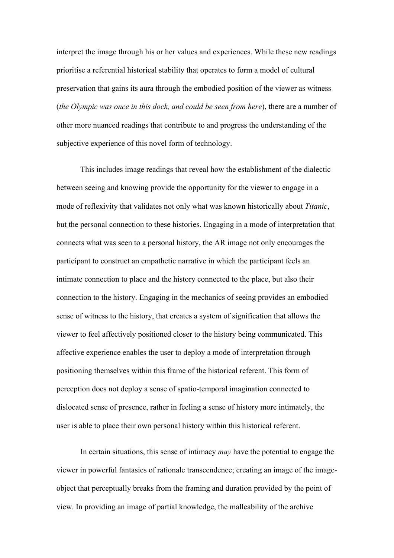interpret the image through his or her values and experiences. While these new readings prioritise a referential historical stability that operates to form a model of cultural preservation that gains its aura through the embodied position of the viewer as witness (*the Olympic was once in this dock, and could be seen from here*), there are a number of other more nuanced readings that contribute to and progress the understanding of the subjective experience of this novel form of technology.

This includes image readings that reveal how the establishment of the dialectic between seeing and knowing provide the opportunity for the viewer to engage in a mode of reflexivity that validates not only what was known historically about *Titanic*, but the personal connection to these histories. Engaging in a mode of interpretation that connects what was seen to a personal history, the AR image not only encourages the participant to construct an empathetic narrative in which the participant feels an intimate connection to place and the history connected to the place, but also their connection to the history. Engaging in the mechanics of seeing provides an embodied sense of witness to the history, that creates a system of signification that allows the viewer to feel affectively positioned closer to the history being communicated. This affective experience enables the user to deploy a mode of interpretation through positioning themselves within this frame of the historical referent. This form of perception does not deploy a sense of spatio-temporal imagination connected to dislocated sense of presence, rather in feeling a sense of history more intimately, the user is able to place their own personal history within this historical referent.

In certain situations, this sense of intimacy *may* have the potential to engage the viewer in powerful fantasies of rationale transcendence; creating an image of the imageobject that perceptually breaks from the framing and duration provided by the point of view. In providing an image of partial knowledge, the malleability of the archive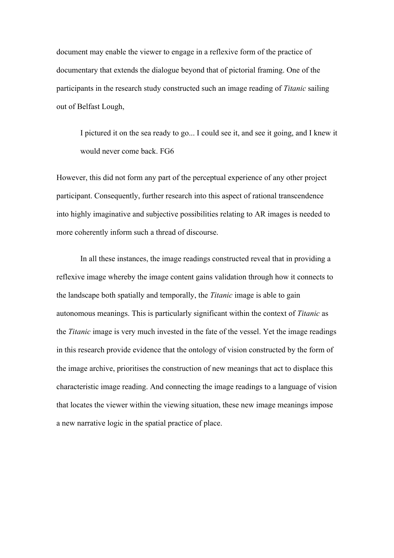document may enable the viewer to engage in a reflexive form of the practice of documentary that extends the dialogue beyond that of pictorial framing. One of the participants in the research study constructed such an image reading of *Titanic* sailing out of Belfast Lough,

I pictured it on the sea ready to go... I could see it, and see it going, and I knew it would never come back. FG6

However, this did not form any part of the perceptual experience of any other project participant. Consequently, further research into this aspect of rational transcendence into highly imaginative and subjective possibilities relating to AR images is needed to more coherently inform such a thread of discourse.

In all these instances, the image readings constructed reveal that in providing a reflexive image whereby the image content gains validation through how it connects to the landscape both spatially and temporally, the *Titanic* image is able to gain autonomous meanings. This is particularly significant within the context of *Titanic* as the *Titanic* image is very much invested in the fate of the vessel. Yet the image readings in this research provide evidence that the ontology of vision constructed by the form of the image archive, prioritises the construction of new meanings that act to displace this characteristic image reading. And connecting the image readings to a language of vision that locates the viewer within the viewing situation, these new image meanings impose a new narrative logic in the spatial practice of place.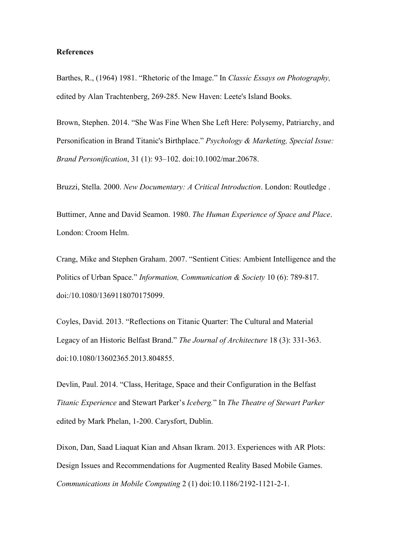#### **References**

Barthes, R., (1964) 1981. "Rhetoric of the Image." In *Classic Essays on Photography,*  edited by Alan Trachtenberg, 269-285. New Haven: Leete's Island Books.

Brown, Stephen. 2014. "She Was Fine When She Left Here: Polysemy, Patriarchy, and Personification in Brand Titanic's Birthplace." *Psychology & Marketing, Special Issue: Brand Personification*, 31 (1): 93–102. doi:10.1002/mar.20678.

Bruzzi, Stella. 2000. *New Documentary: A Critical Introduction*. London: Routledge .

Buttimer, Anne and David Seamon. 1980. *The Human Experience of Space and Place*. London: Croom Helm.

Crang, Mike and Stephen Graham. 2007. "Sentient Cities: Ambient Intelligence and the Politics of Urban Space." *Information, Communication & Society* 10 (6): 789-817. doi:/10.1080/1369118070175099.

Coyles, David. 2013. "Reflections on Titanic Quarter: The Cultural and Material Legacy of an Historic Belfast Brand." *The Journal of Architecture* 18 (3): 331-363. doi:10.1080/13602365.2013.804855.

Devlin, Paul. 2014. "Class, Heritage, Space and their Configuration in the Belfast *Titanic Experience* and Stewart Parker's *Iceberg.*" In *The Theatre of Stewart Parker* edited by Mark Phelan, 1-200. Carysfort, Dublin.

Dixon, Dan, Saad Liaquat Kian and Ahsan Ikram. 2013. Experiences with AR Plots: Design Issues and Recommendations for Augmented Reality Based Mobile Games. *Communications in Mobile Computing* 2 (1) doi:10.1186/2192-1121-2-1.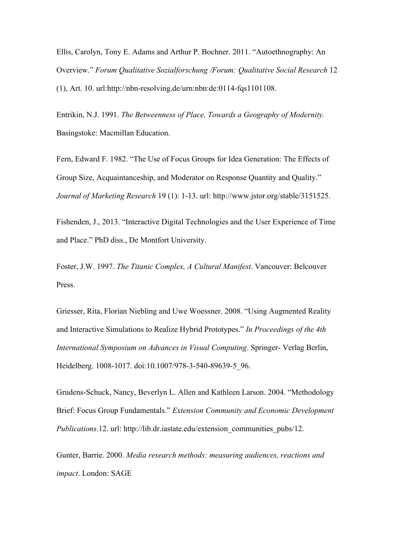Ellis, Carolyn, Tony E. Adams and Arthur P. Bochner. 2011. "Autoethnography: An Overview." *Forum Qualitative Sozialforschung /Forum: Qualitative Social Research* 12 (1), Art. 10. url:http://nbn-resolving.de/urn:nbn:de:0114-fqs1101108.

Entrikin, N.J. 1991. *The Betweenness of Place, Towards a Geography of Modernity.*  Basingstoke: Macmillan Education.

Fern, Edward F. 1982. "The Use of Focus Groups for Idea Generation: The Effects of Group Size, Acquaintanceship, and Moderator on Response Quantity and Quality." *Journal of Marketing Research* 19 (1): 1-13. url: http://www.jstor.org/stable/3151525.

Fishenden, J., 2013. "Interactive Digital Technologies and the User Experience of Time and Place." PhD diss., De Montfort University.

Foster, J.W. 1997. *The Titanic Complex, A Cultural Manifest*. Vancouver: Belcouver Press.

Griesser, Rita, Florian Niebling and Uwe Woessner. 2008. "Using Augmented Reality and Interactive Simulations to Realize Hybrid Prototypes." *In Proceedings of the 4th International Symposium on Advances in Visual Computing*. Springer- Verlag Berlin, Heidelberg. 1008-1017. doi:10.1007/978-3-540-89639-5\_96.

Grudens-Schuck, Nancy, Beverlyn L. Allen and Kathleen Larson. 2004. "Methodology Brief: Focus Group Fundamentals." *Extension Community and Economic Development Publications*.12. url: http://lib.dr.iastate.edu/extension\_communities\_pubs/12.

Gunter, Barrie. 2000. *Media research methods: measuring audiences, reactions and impact*. London: SAGE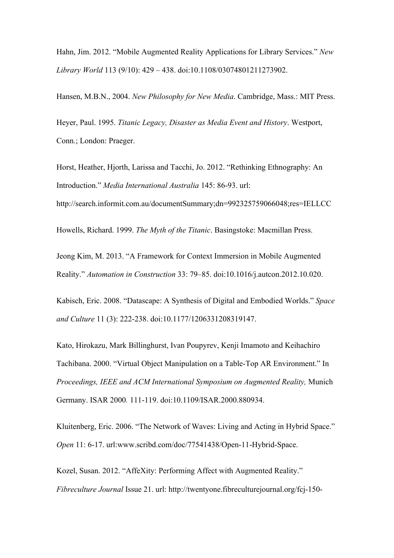Hahn, Jim. 2012. "Mobile Augmented Reality Applications for Library Services." *New Library World* 113 (9/10): 429 – 438. doi:10.1108/03074801211273902.

Hansen, M.B.N., 2004. *New Philosophy for New Media*. Cambridge, Mass.: MIT Press.

Heyer, Paul. 1995. *Titanic Legacy, Disaster as Media Event and History*. Westport, Conn.; London: Praeger.

Horst, Heather, Hjorth, Larissa and Tacchi, Jo. 2012. "Rethinking Ethnography: An Introduction." *Media International Australia* 145: 86-93. url:

http://search.informit.com.au/documentSummary;dn=992325759066048;res=IELLCC

Howells, Richard. 1999. *The Myth of the Titanic*. Basingstoke: Macmillan Press.

Jeong Kim, M. 2013. "A Framework for Context Immersion in Mobile Augmented Reality." *Automation in Construction* 33: 79–85. doi:10.1016/j.autcon.2012.10.020.

Kabisch, Eric. 2008. "Datascape: A Synthesis of Digital and Embodied Worlds." *Space and Culture* 11 (3): 222-238. doi:10.1177/1206331208319147.

Kato, Hirokazu, Mark Billinghurst, Ivan Poupyrev, Kenji Imamoto and Keihachiro Tachibana. 2000. "Virtual Object Manipulation on a Table-Top AR Environment." In *Proceedings, IEEE and ACM International Symposium on Augmented Reality,* Munich Germany. ISAR 2000*.* 111-119. doi:10.1109/ISAR.2000.880934.

Kluitenberg, Eric. 2006. "The Network of Waves: Living and Acting in Hybrid Space." *Open* 11: 6-17. url:www.scribd.com/doc/77541438/Open-11-Hybrid-Space.

Kozel, Susan. 2012. "AffeXity: Performing Affect with Augmented Reality." *Fibreculture Journal* Issue 21. url: http://twentyone.fibreculturejournal.org/fcj-150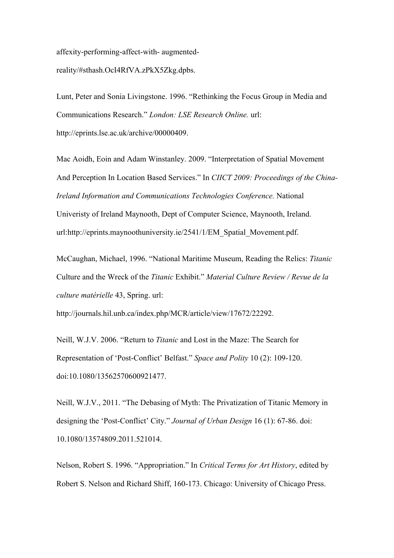affexity-performing-affect-with- augmented-

reality/#sthash.OcI4RfVA.zPkX5Zkg.dpbs.

Lunt, Peter and Sonia Livingstone. 1996. "Rethinking the Focus Group in Media and Communications Research." *London: LSE Research Online.* url: http://eprints.lse.ac.uk/archive/00000409.

Mac Aoidh, Eoin and Adam Winstanley. 2009. "Interpretation of Spatial Movement And Perception In Location Based Services." In *CIICT 2009: Proceedings of the China-Ireland Information and Communications Technologies Conference.* National Univeristy of Ireland Maynooth, Dept of Computer Science, Maynooth, Ireland. url:http://eprints.maynoothuniversity.ie/2541/1/EM\_Spatial\_Movement.pdf.

McCaughan, Michael, 1996. "National Maritime Museum, Reading the Relics: *Titanic* Culture and the Wreck of the *Titanic* Exhibit." *Material Culture Review / Revue de la culture matérielle* 43, Spring. url:

http://journals.hil.unb.ca/index.php/MCR/article/view/17672/22292.

Neill, W.J.V. 2006. "Return to *Titanic* and Lost in the Maze: The Search for Representation of 'Post-Conflict' Belfast." *Space and Polity* 10 (2): 109-120. doi:10.1080/13562570600921477.

Neill, W.J.V., 2011. "The Debasing of Myth: The Privatization of Titanic Memory in designing the 'Post-Conflict' City." *Journal of Urban Design* 16 (1): 67-86. doi: 10.1080/13574809.2011.521014.

Nelson, Robert S. 1996. "Appropriation." In *Critical Terms for Art History*, edited by Robert S. Nelson and Richard Shiff, 160-173. Chicago: University of Chicago Press.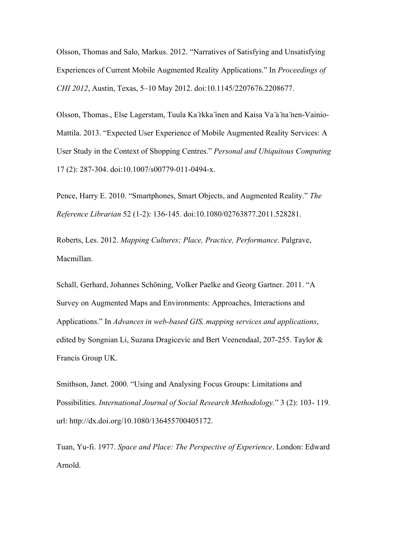Olsson, Thomas and Salo, Markus. 2012. "Narratives of Satisfying and Unsatisfying Experiences of Current Mobile Augmented Reality Applications." In *Proceedings of CHI 2012*, Austin, Texas, 5–10 May 2012. doi:10.1145/2207676.2208677.

Olsson, Thomas., Else Lagerstam, Tuula Ka ̈rkka ̈inen and Kaisa Va ̈a ̈na ̈nen-Vainio-Mattila. 2013. "Expected User Experience of Mobile Augmented Reality Services: A User Study in the Context of Shopping Centres." *Personal and Ubiquitous Computing*  17 (2): 287-304. doi:10.1007/s00779-011-0494-x.

Pence, Harry E. 2010. "Smartphones, Smart Objects, and Augmented Reality." *The Reference Librarian* 52 (1-2): 136-145. doi:10.1080/02763877.2011.528281.

Roberts, Les. 2012. *Mapping Cultures; Place, Practice, Performance*. Palgrave, Macmillan.

Schall, Gerhard, Johannes Schöning, Volker Paelke and Georg Gartner. 2011. "A Survey on Augmented Maps and Environments: Approaches, Interactions and Applications." In *Advances in web-based GIS, mapping services and applications*, edited by Songnian Li, Suzana Dragicevic and Bert Veenendaal, 207-255. Taylor & Francis Group UK.

Smithson, Janet. 2000. "Using and Analysing Focus Groups: Limitations and Possibilities. *International Journal of Social Research Methodology.*" 3 (2): 103- 119. url: http://dx.doi.org/10.1080/136455700405172.

Tuan, Yu-fi. 1977. *Space and Place: The Perspective of Experience*. London: Edward Arnold.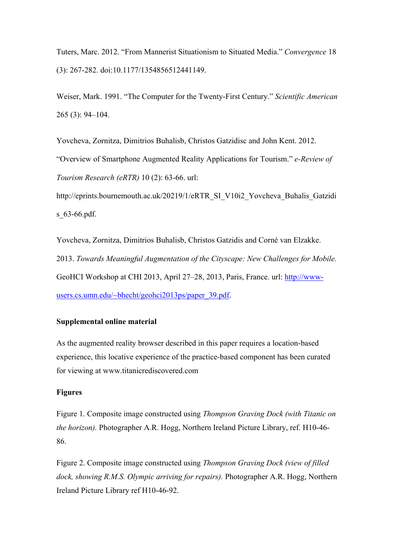Tuters, Marc. 2012. "From Mannerist Situationism to Situated Media." *Convergence* 18 (3): 267-282. doi:10.1177/1354856512441149.

Weiser, Mark. 1991. "The Computer for the Twenty-First Century." *Scientific American*  265 (3): 94–104.

Yovcheva, Zornitza, Dimitrios Buhalisb, Christos Gatzidisc and John Kent. 2012. "Overview of Smartphone Augmented Reality Applications for Tourism." *e-Review of Tourism Research (eRTR)* 10 (2): 63-66. url:

http://eprints.bournemouth.ac.uk/20219/1/eRTR\_SI\_V10i2\_Yovcheva\_Buhalis\_Gatzidi s 63-66.pdf.

Yovcheva, Zornitza, Dimitrios Buhalisb, Christos Gatzidis and Corné van Elzakke. 2013. *Towards Meaningful Augmentation of the Cityscape: New Challenges for Mobile.*  GeoHCI Workshop at CHI 2013, April 27–28, 2013, Paris, France. url: http://wwwusers.cs.umn.edu/~bhecht/geohci2013ps/paper\_39.pdf.

# **Supplemental online material**

As the augmented reality browser described in this paper requires a location-based experience, this locative experience of the practice-based component has been curated for viewing at www.titanicrediscovered.com

## **Figures**

Figure 1. Composite image constructed using *Thompson Graving Dock (with Titanic on the horizon).* Photographer A.R. Hogg, Northern Ireland Picture Library, ref. H10-46- 86.

Figure 2. Composite image constructed using *Thompson Graving Dock (view of filled dock, showing R.M.S. Olympic arriving for repairs).* Photographer A.R. Hogg, Northern Ireland Picture Library ref H10-46-92.